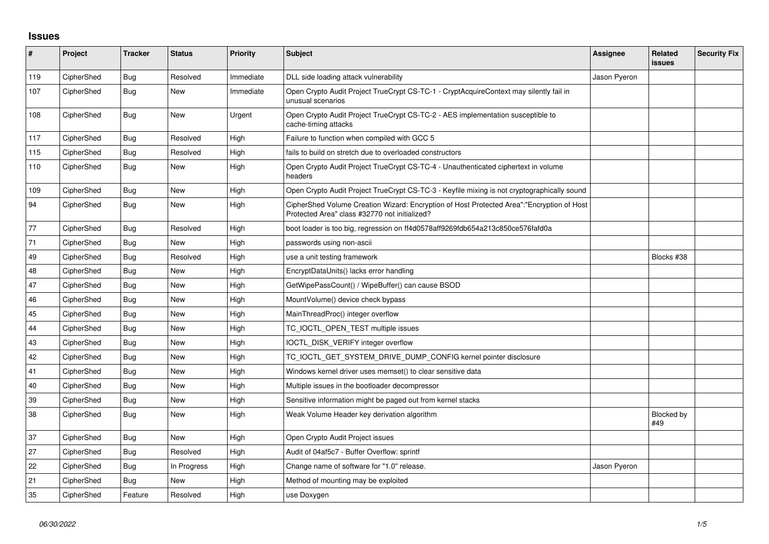## **Issues**

| #   | Project    | <b>Tracker</b> | <b>Status</b> | <b>Priority</b> | <b>Subject</b>                                                                                                                             | Assignee     | Related<br><b>issues</b> | <b>Security Fix</b> |
|-----|------------|----------------|---------------|-----------------|--------------------------------------------------------------------------------------------------------------------------------------------|--------------|--------------------------|---------------------|
| 119 | CipherShed | <b>Bug</b>     | Resolved      | Immediate       | DLL side loading attack vulnerability                                                                                                      | Jason Pyeron |                          |                     |
| 107 | CipherShed | <b>Bug</b>     | New           | Immediate       | Open Crypto Audit Project TrueCrypt CS-TC-1 - CryptAcquireContext may silently fail in<br>unusual scenarios                                |              |                          |                     |
| 108 | CipherShed | <b>Bug</b>     | New           | Urgent          | Open Crypto Audit Project TrueCrypt CS-TC-2 - AES implementation susceptible to<br>cache-timing attacks                                    |              |                          |                     |
| 117 | CipherShed | <b>Bug</b>     | Resolved      | High            | Failure to function when compiled with GCC 5                                                                                               |              |                          |                     |
| 115 | CipherShed | <b>Bug</b>     | Resolved      | High            | fails to build on stretch due to overloaded constructors                                                                                   |              |                          |                     |
| 110 | CipherShed | <b>Bug</b>     | <b>New</b>    | High            | Open Crypto Audit Project TrueCrypt CS-TC-4 - Unauthenticated ciphertext in volume<br>headers                                              |              |                          |                     |
| 109 | CipherShed | <b>Bug</b>     | <b>New</b>    | High            | Open Crypto Audit Project TrueCrypt CS-TC-3 - Keyfile mixing is not cryptographically sound                                                |              |                          |                     |
| 94  | CipherShed | Bug            | <b>New</b>    | High            | CipherShed Volume Creation Wizard: Encryption of Host Protected Area":"Encryption of Host<br>Protected Area" class #32770 not initialized? |              |                          |                     |
| 77  | CipherShed | Bug            | Resolved      | High            | boot loader is too big, regression on ff4d0578aff9269fdb654a213c850ce576fafd0a                                                             |              |                          |                     |
| 71  | CipherShed | Bug            | New           | High            | passwords using non-ascii                                                                                                                  |              |                          |                     |
| 49  | CipherShed | Bug            | Resolved      | High            | use a unit testing framework                                                                                                               |              | Blocks #38               |                     |
| 48  | CipherShed | Bug            | <b>New</b>    | High            | EncryptDataUnits() lacks error handling                                                                                                    |              |                          |                     |
| 47  | CipherShed | <b>Bug</b>     | New           | High            | GetWipePassCount() / WipeBuffer() can cause BSOD                                                                                           |              |                          |                     |
| 46  | CipherShed | <b>Bug</b>     | <b>New</b>    | High            | MountVolume() device check bypass                                                                                                          |              |                          |                     |
| 45  | CipherShed | Bug            | <b>New</b>    | High            | MainThreadProc() integer overflow                                                                                                          |              |                          |                     |
| 44  | CipherShed | <b>Bug</b>     | New           | High            | TC_IOCTL_OPEN_TEST multiple issues                                                                                                         |              |                          |                     |
| 43  | CipherShed | <b>Bug</b>     | <b>New</b>    | High            | IOCTL_DISK_VERIFY integer overflow                                                                                                         |              |                          |                     |
| 42  | CipherShed | Bug            | <b>New</b>    | High            | TC_IOCTL_GET_SYSTEM_DRIVE_DUMP_CONFIG kernel pointer disclosure                                                                            |              |                          |                     |
| 41  | CipherShed | Bug            | New           | High            | Windows kernel driver uses memset() to clear sensitive data                                                                                |              |                          |                     |
| 40  | CipherShed | <b>Bug</b>     | <b>New</b>    | High            | Multiple issues in the bootloader decompressor                                                                                             |              |                          |                     |
| 39  | CipherShed | <b>Bug</b>     | <b>New</b>    | High            | Sensitive information might be paged out from kernel stacks                                                                                |              |                          |                     |
| 38  | CipherShed | <b>Bug</b>     | <b>New</b>    | High            | Weak Volume Header key derivation algorithm                                                                                                |              | Blocked by<br>#49        |                     |
| 37  | CipherShed | <b>Bug</b>     | <b>New</b>    | High            | Open Crypto Audit Project issues                                                                                                           |              |                          |                     |
| 27  | CipherShed | <b>Bug</b>     | Resolved      | High            | Audit of 04af5c7 - Buffer Overflow: sprintf                                                                                                |              |                          |                     |
| 22  | CipherShed | Bug            | In Progress   | High            | Change name of software for "1.0" release.                                                                                                 | Jason Pyeron |                          |                     |
| 21  | CipherShed | <b>Bug</b>     | <b>New</b>    | High            | Method of mounting may be exploited                                                                                                        |              |                          |                     |
| 35  | CipherShed | Feature        | Resolved      | High            | use Doxygen                                                                                                                                |              |                          |                     |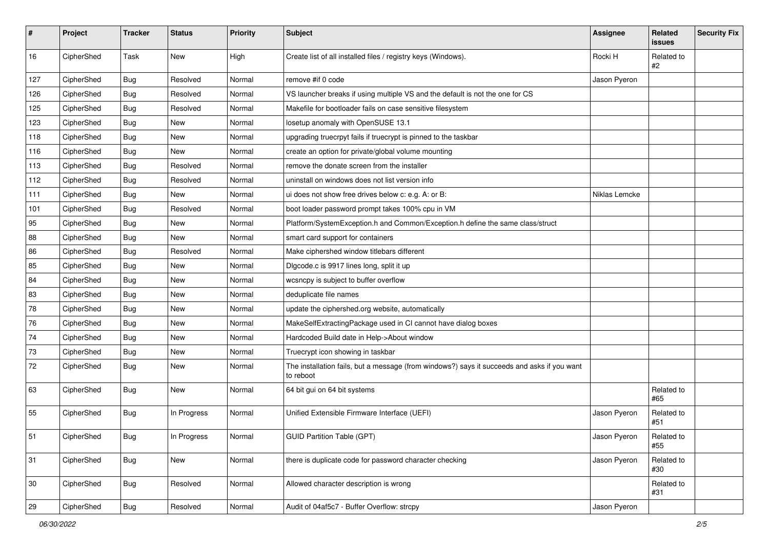| #   | Project    | <b>Tracker</b> | <b>Status</b> | Priority | Subject                                                                                                  | Assignee      | Related<br><b>issues</b> | <b>Security Fix</b> |
|-----|------------|----------------|---------------|----------|----------------------------------------------------------------------------------------------------------|---------------|--------------------------|---------------------|
| 16  | CipherShed | Task           | New           | High     | Create list of all installed files / registry keys (Windows).                                            | Rocki H       | Related to<br>#2         |                     |
| 127 | CipherShed | Bug            | Resolved      | Normal   | remove #if 0 code                                                                                        | Jason Pyeron  |                          |                     |
| 126 | CipherShed | <b>Bug</b>     | Resolved      | Normal   | VS launcher breaks if using multiple VS and the default is not the one for CS                            |               |                          |                     |
| 125 | CipherShed | <b>Bug</b>     | Resolved      | Normal   | Makefile for bootloader fails on case sensitive filesystem                                               |               |                          |                     |
| 123 | CipherShed | Bug            | New           | Normal   | losetup anomaly with OpenSUSE 13.1                                                                       |               |                          |                     |
| 118 | CipherShed | Bug            | New           | Normal   | upgrading truecrpyt fails if truecrypt is pinned to the taskbar                                          |               |                          |                     |
| 116 | CipherShed | <b>Bug</b>     | New           | Normal   | create an option for private/global volume mounting                                                      |               |                          |                     |
| 113 | CipherShed | <b>Bug</b>     | Resolved      | Normal   | remove the donate screen from the installer                                                              |               |                          |                     |
| 112 | CipherShed | <b>Bug</b>     | Resolved      | Normal   | uninstall on windows does not list version info                                                          |               |                          |                     |
| 111 | CipherShed | Bug            | New           | Normal   | ui does not show free drives below c: e.g. A: or B:                                                      | Niklas Lemcke |                          |                     |
| 101 | CipherShed | <b>Bug</b>     | Resolved      | Normal   | boot loader password prompt takes 100% cpu in VM                                                         |               |                          |                     |
| 95  | CipherShed | Bug            | New           | Normal   | Platform/SystemException.h and Common/Exception.h define the same class/struct                           |               |                          |                     |
| 88  | CipherShed | <b>Bug</b>     | <b>New</b>    | Normal   | smart card support for containers                                                                        |               |                          |                     |
| 86  | CipherShed | <b>Bug</b>     | Resolved      | Normal   | Make ciphershed window titlebars different                                                               |               |                          |                     |
| 85  | CipherShed | Bug            | New           | Normal   | Digcode.c is 9917 lines long, split it up                                                                |               |                          |                     |
| 84  | CipherShed | <b>Bug</b>     | New           | Normal   | wcsncpy is subject to buffer overflow                                                                    |               |                          |                     |
| 83  | CipherShed | <b>Bug</b>     | New           | Normal   | deduplicate file names                                                                                   |               |                          |                     |
| 78  | CipherShed | <b>Bug</b>     | New           | Normal   | update the ciphershed.org website, automatically                                                         |               |                          |                     |
| 76  | CipherShed | <b>Bug</b>     | New           | Normal   | MakeSelfExtractingPackage used in CI cannot have dialog boxes                                            |               |                          |                     |
| 74  | CipherShed | Bug            | New           | Normal   | Hardcoded Build date in Help->About window                                                               |               |                          |                     |
| 73  | CipherShed | <b>Bug</b>     | New           | Normal   | Truecrypt icon showing in taskbar                                                                        |               |                          |                     |
| 72  | CipherShed | <b>Bug</b>     | New           | Normal   | The installation fails, but a message (from windows?) says it succeeds and asks if you want<br>to reboot |               |                          |                     |
| 63  | CipherShed | <b>Bug</b>     | New           | Normal   | 64 bit gui on 64 bit systems                                                                             |               | Related to<br>#65        |                     |
| 55  | CipherShed | <b>Bug</b>     | In Progress   | Normal   | Unified Extensible Firmware Interface (UEFI)                                                             | Jason Pyeron  | Related to<br>#51        |                     |
| 51  | CipherShed | Bug            | In Progress   | Normal   | <b>GUID Partition Table (GPT)</b>                                                                        | Jason Pyeron  | Related to<br>#55        |                     |
| 31  | CipherShed | <b>Bug</b>     | New           | Normal   | there is duplicate code for password character checking                                                  | Jason Pyeron  | Related to<br>#30        |                     |
| 30  | CipherShed | <b>Bug</b>     | Resolved      | Normal   | Allowed character description is wrong                                                                   |               | Related to<br>#31        |                     |
| 29  | CipherShed | <b>Bug</b>     | Resolved      | Normal   | Audit of 04af5c7 - Buffer Overflow: strcpy                                                               | Jason Pyeron  |                          |                     |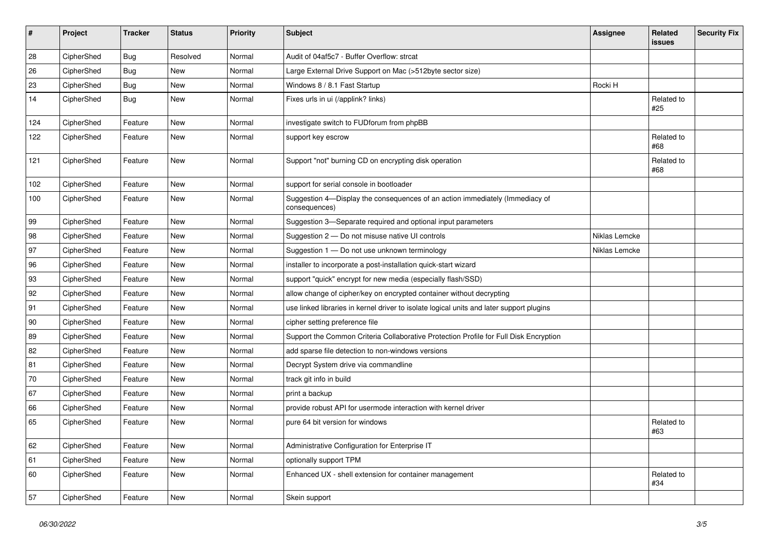| #   | Project    | <b>Tracker</b> | <b>Status</b> | <b>Priority</b> | <b>Subject</b>                                                                                | <b>Assignee</b> | Related<br><b>issues</b> | <b>Security Fix</b> |
|-----|------------|----------------|---------------|-----------------|-----------------------------------------------------------------------------------------------|-----------------|--------------------------|---------------------|
| 28  | CipherShed | <b>Bug</b>     | Resolved      | Normal          | Audit of 04af5c7 - Buffer Overflow: strcat                                                    |                 |                          |                     |
| 26  | CipherShed | <b>Bug</b>     | New           | Normal          | Large External Drive Support on Mac (>512byte sector size)                                    |                 |                          |                     |
| 23  | CipherShed | <b>Bug</b>     | New           | Normal          | Windows 8 / 8.1 Fast Startup                                                                  | Rocki H         |                          |                     |
| 14  | CipherShed | <b>Bug</b>     | <b>New</b>    | Normal          | Fixes urls in ui (/applink? links)                                                            |                 | Related to<br>#25        |                     |
| 124 | CipherShed | Feature        | New           | Normal          | investigate switch to FUDforum from phpBB                                                     |                 |                          |                     |
| 122 | CipherShed | Feature        | New           | Normal          | support key escrow                                                                            |                 | Related to<br>#68        |                     |
| 121 | CipherShed | Feature        | <b>New</b>    | Normal          | Support "not" burning CD on encrypting disk operation                                         |                 | Related to<br>#68        |                     |
| 102 | CipherShed | Feature        | <b>New</b>    | Normal          | support for serial console in bootloader                                                      |                 |                          |                     |
| 100 | CipherShed | Feature        | New           | Normal          | Suggestion 4-Display the consequences of an action immediately (Immediacy of<br>consequences) |                 |                          |                     |
| 99  | CipherShed | Feature        | New           | Normal          | Suggestion 3-Separate required and optional input parameters                                  |                 |                          |                     |
| 98  | CipherShed | Feature        | <b>New</b>    | Normal          | Suggestion 2 - Do not misuse native UI controls                                               | Niklas Lemcke   |                          |                     |
| 97  | CipherShed | Feature        | New           | Normal          | Suggestion 1 - Do not use unknown terminology                                                 | Niklas Lemcke   |                          |                     |
| 96  | CipherShed | Feature        | New           | Normal          | installer to incorporate a post-installation quick-start wizard                               |                 |                          |                     |
| 93  | CipherShed | Feature        | New           | Normal          | support "quick" encrypt for new media (especially flash/SSD)                                  |                 |                          |                     |
| 92  | CipherShed | Feature        | New           | Normal          | allow change of cipher/key on encrypted container without decrypting                          |                 |                          |                     |
| 91  | CipherShed | Feature        | <b>New</b>    | Normal          | use linked libraries in kernel driver to isolate logical units and later support plugins      |                 |                          |                     |
| 90  | CipherShed | Feature        | New           | Normal          | cipher setting preference file                                                                |                 |                          |                     |
| 89  | CipherShed | Feature        | New           | Normal          | Support the Common Criteria Collaborative Protection Profile for Full Disk Encryption         |                 |                          |                     |
| 82  | CipherShed | Feature        | New           | Normal          | add sparse file detection to non-windows versions                                             |                 |                          |                     |
| 81  | CipherShed | Feature        | New           | Normal          | Decrypt System drive via commandline                                                          |                 |                          |                     |
| 70  | CipherShed | Feature        | <b>New</b>    | Normal          | track git info in build                                                                       |                 |                          |                     |
| 67  | CipherShed | Feature        | New           | Normal          | print a backup                                                                                |                 |                          |                     |
| 66  | CipherShed | Feature        | New           | Normal          | provide robust API for usermode interaction with kernel driver                                |                 |                          |                     |
| 65  | CipherShed | Feature        | New           | Normal          | pure 64 bit version for windows                                                               |                 | Related to<br>#63        |                     |
| 62  | CipherShed | Feature        | New           | Normal          | Administrative Configuration for Enterprise IT                                                |                 |                          |                     |
| 61  | CipherShed | Feature        | New           | Normal          | optionally support TPM                                                                        |                 |                          |                     |
| 60  | CipherShed | Feature        | New           | Normal          | Enhanced UX - shell extension for container management                                        |                 | Related to<br>#34        |                     |
| 57  | CipherShed | Feature        | New           | Normal          | Skein support                                                                                 |                 |                          |                     |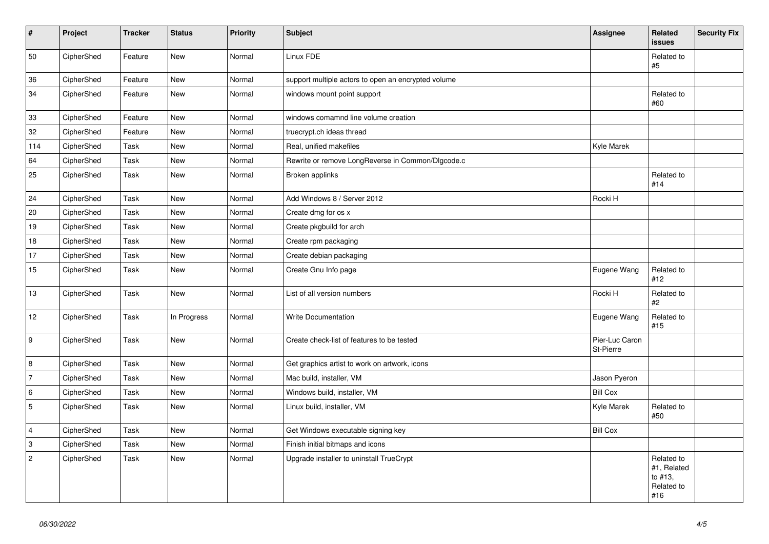| $\vert$ #      | Project    | <b>Tracker</b> | <b>Status</b> | <b>Priority</b> | <b>Subject</b>                                      | Assignee                    | Related<br><b>issues</b>                                  | <b>Security Fix</b> |
|----------------|------------|----------------|---------------|-----------------|-----------------------------------------------------|-----------------------------|-----------------------------------------------------------|---------------------|
| 50             | CipherShed | Feature        | <b>New</b>    | Normal          | Linux FDE                                           |                             | Related to<br>$\#5$                                       |                     |
| 36             | CipherShed | Feature        | New           | Normal          | support multiple actors to open an encrypted volume |                             |                                                           |                     |
| 34             | CipherShed | Feature        | New           | Normal          | windows mount point support                         |                             | Related to<br>#60                                         |                     |
| 33             | CipherShed | Feature        | New           | Normal          | windows comamnd line volume creation                |                             |                                                           |                     |
| 32             | CipherShed | Feature        | New           | Normal          | truecrypt.ch ideas thread                           |                             |                                                           |                     |
| 114            | CipherShed | Task           | <b>New</b>    | Normal          | Real, unified makefiles                             | Kyle Marek                  |                                                           |                     |
| 64             | CipherShed | Task           | New           | Normal          | Rewrite or remove LongReverse in Common/Dlgcode.c   |                             |                                                           |                     |
| 25             | CipherShed | Task           | New           | Normal          | Broken applinks                                     |                             | Related to<br>#14                                         |                     |
| 24             | CipherShed | Task           | New           | Normal          | Add Windows 8 / Server 2012                         | Rocki H                     |                                                           |                     |
| 20             | CipherShed | Task           | New           | Normal          | Create dmg for os x                                 |                             |                                                           |                     |
| 19             | CipherShed | Task           | <b>New</b>    | Normal          | Create pkgbuild for arch                            |                             |                                                           |                     |
| 18             | CipherShed | Task           | <b>New</b>    | Normal          | Create rpm packaging                                |                             |                                                           |                     |
| 17             | CipherShed | Task           | <b>New</b>    | Normal          | Create debian packaging                             |                             |                                                           |                     |
| 15             | CipherShed | Task           | New           | Normal          | Create Gnu Info page                                | Eugene Wang                 | Related to<br>#12                                         |                     |
| $13$           | CipherShed | Task           | <b>New</b>    | Normal          | List of all version numbers                         | Rocki H                     | Related to<br>#2                                          |                     |
| 12             | CipherShed | Task           | In Progress   | Normal          | <b>Write Documentation</b>                          | Eugene Wang                 | Related to<br>#15                                         |                     |
| 9              | CipherShed | Task           | New           | Normal          | Create check-list of features to be tested          | Pier-Luc Caron<br>St-Pierre |                                                           |                     |
| 8              | CipherShed | Task           | New           | Normal          | Get graphics artist to work on artwork, icons       |                             |                                                           |                     |
| 7              | CipherShed | Task           | New           | Normal          | Mac build, installer, VM                            | Jason Pyeron                |                                                           |                     |
| 6              | CipherShed | Task           | <b>New</b>    | Normal          | Windows build, installer, VM                        | <b>Bill Cox</b>             |                                                           |                     |
| 5              | CipherShed | Task           | New           | Normal          | Linux build, installer, VM                          | Kyle Marek                  | Related to<br>#50                                         |                     |
| $\overline{4}$ | CipherShed | Task           | <b>New</b>    | Normal          | Get Windows executable signing key                  | <b>Bill Cox</b>             |                                                           |                     |
| $\overline{3}$ | CipherShed | Task           | <b>New</b>    | Normal          | Finish initial bitmaps and icons                    |                             |                                                           |                     |
| $\overline{2}$ | CipherShed | Task           | New           | Normal          | Upgrade installer to uninstall TrueCrypt            |                             | Related to<br>#1, Related<br>to #13,<br>Related to<br>#16 |                     |